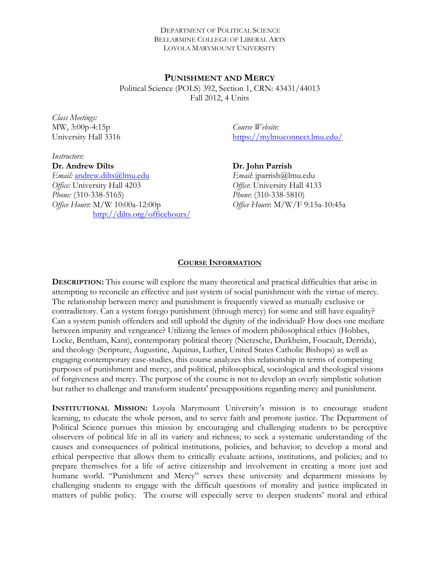#### DEPARTMENT OF POLITICAL SCIENCE BELLARMINE COLLEGE OF LIBERAL ARTS LOYOLA MARYMOUNT UNIVERSITY

**PUNISHMENT AND MERCY** Political Science (POLS) 392, Section 1, CRN: 43431/44013 Fall 2012, 4 Units

*Class Meetings:*  MW, 3:00p-4:15p University Hall 3316

*Course Website:*  https://mylmuconnect.lmu.edu/

*Instructors*: **Dr. Andrew Dilts**  *Email:* andrew.dilts@lmu.edu *Office:* University Hall 4203 *Phone:* (310-338-5165) *Office Hours*: M/W 10:00a-12:00p http://dilts.org/officehours/

**Dr. John Parrish** *Email*: jparrish@lmu.edu *Office*: University Hall 4133 *Phone*: (310-338-5810) *Office Hours*: M/W/F 9:15a-10:45a

#### **COURSE INFORMATION**

**DESCRIPTION:** This course will explore the many theoretical and practical difficulties that arise in attempting to reconcile an effective and just system of social punishment with the virtue of mercy. The relationship between mercy and punishment is frequently viewed as mutually exclusive or contradictory. Can a system forego punishment (through mercy) for some and still have equality? Can a system punish offenders and still uphold the dignity of the individual? How does one mediate between impunity and vengeance? Utilizing the lenses of modern philosophical ethics (Hobbes, Locke, Bentham, Kant), contemporary political theory (Nietzsche, Durkheim, Foucault, Derrida), and theology (Scripture, Augustine, Aquinas, Luther, United States Catholic Bishops) as well as engaging contemporary case-studies, this course analyzes this relationship in terms of competing purposes of punishment and mercy, and political, philosophical, sociological and theological visions of forgiveness and mercy. The purpose of the course is not to develop an overly simplistic solution but rather to challenge and transform students' presuppositions regarding mercy and punishment.

**INSTITUTIONAL MISSION:** Loyola Marymount University's mission is to encourage student learning, to educate the whole person, and to serve faith and promote justice. The Department of Political Science pursues this mission by encouraging and challenging students to be perceptive observers of political life in all its variety and richness; to seek a systematic understanding of the causes and consequences of political institutions, policies, and behavior; to develop a moral and ethical perspective that allows them to critically evaluate actions, institutions, and policies; and to prepare themselves for a life of active citizenship and involvement in creating a more just and humane world. "Punishment and Mercy" serves these university and department missions by challenging students to engage with the difficult questions of morality and justice implicated in matters of public policy. The course will especially serve to deepen students' moral and ethical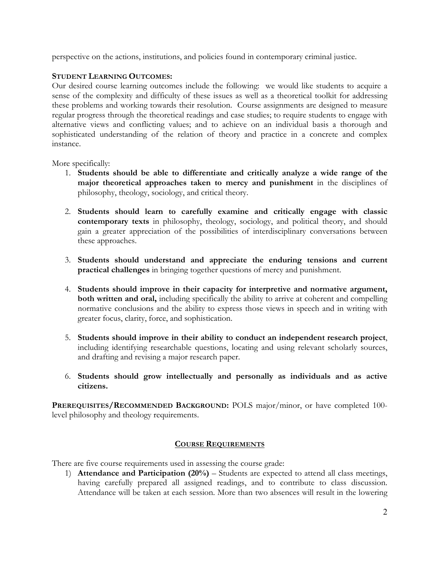perspective on the actions, institutions, and policies found in contemporary criminal justice.

#### **STUDENT LEARNING OUTCOMES:**

Our desired course learning outcomes include the following: we would like students to acquire a sense of the complexity and difficulty of these issues as well as a theoretical toolkit for addressing these problems and working towards their resolution. Course assignments are designed to measure regular progress through the theoretical readings and case studies; to require students to engage with alternative views and conflicting values; and to achieve on an individual basis a thorough and sophisticated understanding of the relation of theory and practice in a concrete and complex instance.

More specifically:

- 1. **Students should be able to differentiate and critically analyze a wide range of the major theoretical approaches taken to mercy and punishment** in the disciplines of philosophy, theology, sociology, and critical theory.
- 2. **Students should learn to carefully examine and critically engage with classic contemporary texts** in philosophy, theology, sociology, and political theory, and should gain a greater appreciation of the possibilities of interdisciplinary conversations between these approaches.
- 3. **Students should understand and appreciate the enduring tensions and current practical challenges** in bringing together questions of mercy and punishment.
- 4. **Students should improve in their capacity for interpretive and normative argument, both written and oral,** including specifically the ability to arrive at coherent and compelling normative conclusions and the ability to express those views in speech and in writing with greater focus, clarity, force, and sophistication.
- 5. **Students should improve in their ability to conduct an independent research project**, including identifying researchable questions, locating and using relevant scholarly sources, and drafting and revising a major research paper.
- 6. **Students should grow intellectually and personally as individuals and as active citizens.**

**PREREQUISITES/RECOMMENDED BACKGROUND:** POLS major/minor, or have completed 100 level philosophy and theology requirements.

#### **COURSE REQUIREMENTS**

There are five course requirements used in assessing the course grade:

1) **Attendance and Participation (20%)** – Students are expected to attend all class meetings, having carefully prepared all assigned readings, and to contribute to class discussion. Attendance will be taken at each session. More than two absences will result in the lowering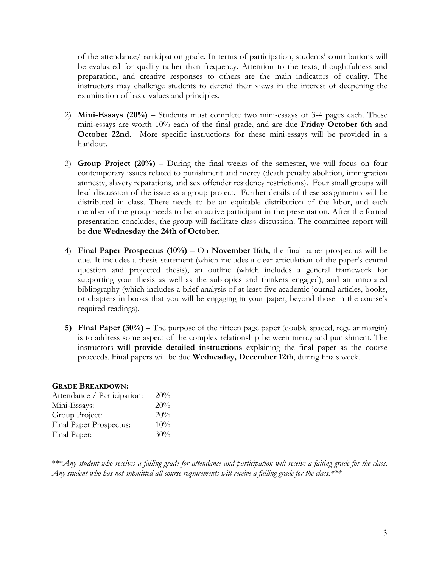of the attendance/participation grade. In terms of participation, students' contributions will be evaluated for quality rather than frequency. Attention to the texts, thoughtfulness and preparation, and creative responses to others are the main indicators of quality. The instructors may challenge students to defend their views in the interest of deepening the examination of basic values and principles.

- 2) **Mini-Essays (20%)**  Students must complete two mini-essays of 3-4 pages each. These mini-essays are worth 10% each of the final grade, and are due **Friday October 6th** and **October 22nd.** More specific instructions for these mini-essays will be provided in a handout.
- 3) **Group Project (20%)** During the final weeks of the semester, we will focus on four contemporary issues related to punishment and mercy (death penalty abolition, immigration amnesty, slavery reparations, and sex offender residency restrictions). Four small groups will lead discussion of the issue as a group project. Further details of these assignments will be distributed in class. There needs to be an equitable distribution of the labor, and each member of the group needs to be an active participant in the presentation. After the formal presentation concludes, the group will facilitate class discussion. The committee report will be **due Wednesday the 24th of October**.
- 4) **Final Paper Prospectus (10%)** On **November 16th,** the final paper prospectus will be due. It includes a thesis statement (which includes a clear articulation of the paper's central question and projected thesis), an outline (which includes a general framework for supporting your thesis as well as the subtopics and thinkers engaged), and an annotated bibliography (which includes a brief analysis of at least five academic journal articles, books, or chapters in books that you will be engaging in your paper, beyond those in the course's required readings).
- **5) Final Paper (30%)**  The purpose of the fifteen page paper (double spaced, regular margin) is to address some aspect of the complex relationship between mercy and punishment. The instructors **will provide detailed instructions** explaining the final paper as the course proceeds. Final papers will be due **Wednesday, December 12th**, during finals week.

#### **GRADE BREAKDOWN:**

| Attendance / Participation: | 20% |
|-----------------------------|-----|
| Mini-Essays:                | 20% |
| Group Project:              | 20% |
| Final Paper Prospectus:     | 10% |
| Final Paper:                | 30% |

\*\*\**Any student who receives a failing grade for attendance and participation will receive a failing grade for the class*. *Any student who has not submitted all course requirements will receive a failing grade for the class.\*\*\**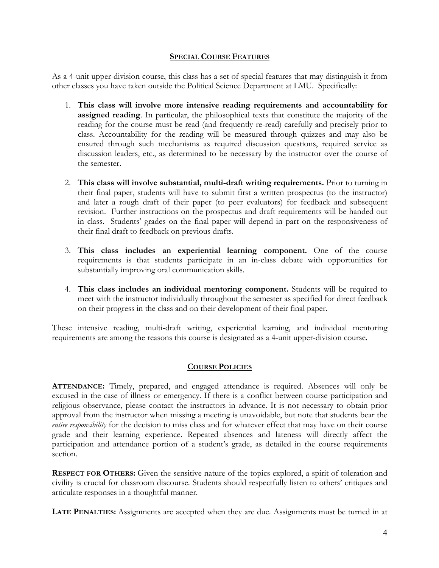#### **SPECIAL COURSE FEATURES**

As a 4-unit upper-division course, this class has a set of special features that may distinguish it from other classes you have taken outside the Political Science Department at LMU. Specifically:

- 1. **This class will involve more intensive reading requirements and accountability for assigned reading**. In particular, the philosophical texts that constitute the majority of the reading for the course must be read (and frequently re-read) carefully and precisely prior to class. Accountability for the reading will be measured through quizzes and may also be ensured through such mechanisms as required discussion questions, required service as discussion leaders, etc., as determined to be necessary by the instructor over the course of the semester.
- 2. **This class will involve substantial, multi-draft writing requirements.** Prior to turning in their final paper, students will have to submit first a written prospectus (to the instructor) and later a rough draft of their paper (to peer evaluators) for feedback and subsequent revision. Further instructions on the prospectus and draft requirements will be handed out in class. Students' grades on the final paper will depend in part on the responsiveness of their final draft to feedback on previous drafts.
- 3. **This class includes an experiential learning component.** One of the course requirements is that students participate in an in-class debate with opportunities for substantially improving oral communication skills.
- 4. **This class includes an individual mentoring component.** Students will be required to meet with the instructor individually throughout the semester as specified for direct feedback on their progress in the class and on their development of their final paper.

These intensive reading, multi-draft writing, experiential learning, and individual mentoring requirements are among the reasons this course is designated as a 4-unit upper-division course.

# **COURSE POLICIES**

**ATTENDANCE:** Timely, prepared, and engaged attendance is required. Absences will only be excused in the case of illness or emergency. If there is a conflict between course participation and religious observance, please contact the instructors in advance. It is not necessary to obtain prior approval from the instructor when missing a meeting is unavoidable, but note that students bear the *entire responsibility* for the decision to miss class and for whatever effect that may have on their course grade and their learning experience. Repeated absences and lateness will directly affect the participation and attendance portion of a student's grade, as detailed in the course requirements section.

**RESPECT FOR OTHERS:** Given the sensitive nature of the topics explored, a spirit of toleration and civility is crucial for classroom discourse. Students should respectfully listen to others' critiques and articulate responses in a thoughtful manner.

**LATE PENALTIES:** Assignments are accepted when they are due. Assignments must be turned in at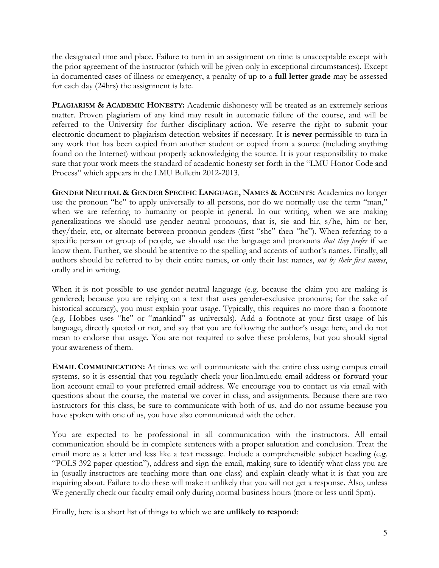the designated time and place. Failure to turn in an assignment on time is unacceptable except with the prior agreement of the instructor (which will be given only in exceptional circumstances). Except in documented cases of illness or emergency, a penalty of up to a **full letter grade** may be assessed for each day (24hrs) the assignment is late.

**PLAGIARISM & ACADEMIC HONESTY:** Academic dishonesty will be treated as an extremely serious matter. Proven plagiarism of any kind may result in automatic failure of the course, and will be referred to the University for further disciplinary action. We reserve the right to submit your electronic document to plagiarism detection websites if necessary. It is **never** permissible to turn in any work that has been copied from another student or copied from a source (including anything found on the Internet) without properly acknowledging the source. It is your responsibility to make sure that your work meets the standard of academic honesty set forth in the "LMU Honor Code and Process" which appears in the LMU Bulletin 2012-2013.

**GENDER NEUTRAL & GENDER SPECIFIC LANGUAGE, NAMES & ACCENTS:** Academics no longer use the pronoun "he" to apply universally to all persons, nor do we normally use the term "man," when we are referring to humanity or people in general. In our writing, when we are making generalizations we should use gender neutral pronouns, that is, sie and hir, s/he, him or her, they/their, etc, or alternate between pronoun genders (first "she" then "he"). When referring to a specific person or group of people, we should use the language and pronouns *that they prefer* if we know them. Further, we should be attentive to the spelling and accents of author's names. Finally, all authors should be referred to by their entire names, or only their last names, *not by their first names*, orally and in writing.

When it is not possible to use gender-neutral language (e.g. because the claim you are making is gendered; because you are relying on a text that uses gender-exclusive pronouns; for the sake of historical accuracy), you must explain your usage. Typically, this requires no more than a footnote (e.g. Hobbes uses "he" or "mankind" as universals). Add a footnote at your first usage of his language, directly quoted or not, and say that you are following the author's usage here, and do not mean to endorse that usage. You are not required to solve these problems, but you should signal your awareness of them.

**EMAIL COMMUNICATION:** At times we will communicate with the entire class using campus email systems, so it is essential that you regularly check your lion.lmu.edu email address or forward your lion account email to your preferred email address. We encourage you to contact us via email with questions about the course, the material we cover in class, and assignments. Because there are two instructors for this class, be sure to communicate with both of us, and do not assume because you have spoken with one of us, you have also communicated with the other.

You are expected to be professional in all communication with the instructors. All email communication should be in complete sentences with a proper salutation and conclusion. Treat the email more as a letter and less like a text message. Include a comprehensible subject heading (e.g. "POLS 392 paper question"), address and sign the email, making sure to identify what class you are in (usually instructors are teaching more than one class) and explain clearly what it is that you are inquiring about. Failure to do these will make it unlikely that you will not get a response. Also, unless We generally check our faculty email only during normal business hours (more or less until 5pm).

Finally, here is a short list of things to which we **are unlikely to respond**: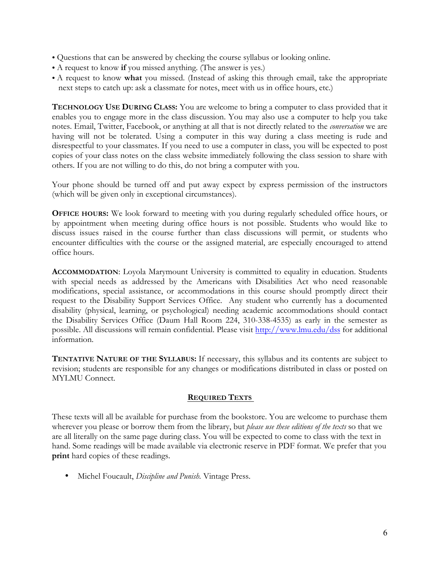- Questions that can be answered by checking the course syllabus or looking online.
- A request to know **if** you missed anything. (The answer is yes.)
- A request to know **what** you missed. (Instead of asking this through email, take the appropriate next steps to catch up: ask a classmate for notes, meet with us in office hours, etc.)

**TECHNOLOGY USE DURING CLASS:** You are welcome to bring a computer to class provided that it enables you to engage more in the class discussion. You may also use a computer to help you take notes. Email, Twitter, Facebook, or anything at all that is not directly related to the *conversation* we are having will not be tolerated. Using a computer in this way during a class meeting is rude and disrespectful to your classmates. If you need to use a computer in class, you will be expected to post copies of your class notes on the class website immediately following the class session to share with others. If you are not willing to do this, do not bring a computer with you.

Your phone should be turned off and put away expect by express permission of the instructors (which will be given only in exceptional circumstances).

**OFFICE HOURS:** We look forward to meeting with you during regularly scheduled office hours, or by appointment when meeting during office hours is not possible. Students who would like to discuss issues raised in the course further than class discussions will permit, or students who encounter difficulties with the course or the assigned material, are especially encouraged to attend office hours.

**ACCOMMODATION**: Loyola Marymount University is committed to equality in education. Students with special needs as addressed by the Americans with Disabilities Act who need reasonable modifications, special assistance, or accommodations in this course should promptly direct their request to the Disability Support Services Office. Any student who currently has a documented disability (physical, learning, or psychological) needing academic accommodations should contact the Disability Services Office (Daum Hall Room 224, 310-338-4535) as early in the semester as possible. All discussions will remain confidential. Please visit http://www.lmu.edu/dss for additional information.

**TENTATIVE NATURE OF THE SYLLABUS:** If necessary, this syllabus and its contents are subject to revision; students are responsible for any changes or modifications distributed in class or posted on MYLMU Connect.

#### **REQUIRED TEXTS**

These texts will all be available for purchase from the bookstore. You are welcome to purchase them wherever you please or borrow them from the library, but *please use these editions of the texts* so that we are all literally on the same page during class. You will be expected to come to class with the text in hand. Some readings will be made available via electronic reserve in PDF format. We prefer that you **print** hard copies of these readings.

• Michel Foucault, *Discipline and Punish.* Vintage Press.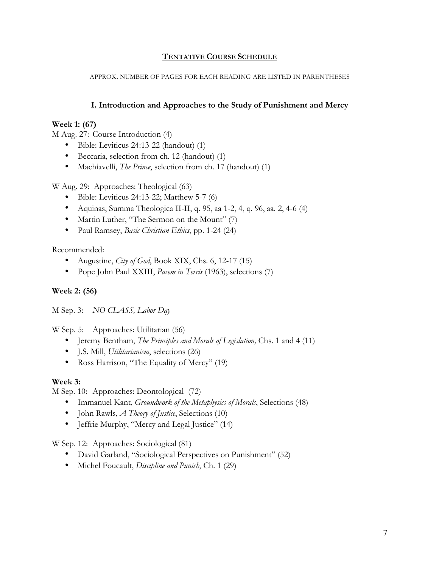## **TENTATIVE COURSE SCHEDULE**

APPROX. NUMBER OF PAGES FOR EACH READING ARE LISTED IN PARENTHESES

## **I. Introduction and Approaches to the Study of Punishment and Mercy**

#### **Week 1: (67)**

M Aug. 27: Course Introduction (4)

- Bible: Leviticus 24:13-22 (handout) (1)
- Beccaria, selection from ch. 12 (handout) (1)
- Machiavelli, *The Prince*, selection from ch. 17 (handout) (1)

W Aug. 29: Approaches: Theological (63)

- Bible: Leviticus 24:13-22; Matthew 5-7 (6)
- Aquinas, Summa Theologica II-II, q. 95, aa 1-2, 4, q. 96, aa. 2, 4-6 (4)
- Martin Luther, "The Sermon on the Mount" (7)
- Paul Ramsey, *Basic Christian Ethics*, pp. 1-24 (24)

Recommended:

- Augustine, *City of God*, Book XIX, Chs. 6, 12-17 (15)
- Pope John Paul XXIII, *Pacem in Terris* (1963), selections (7)

#### **Week 2: (56)**

M Sep. 3: *NO CLASS, Labor Day*

W Sep. 5: Approaches: Utilitarian (56)

- Jeremy Bentham, *The Principles and Morals of Legislation,* Chs. 1 and 4 (11)
- J.S. Mill, *Utilitarianism*, selections (26)
- Ross Harrison, "The Equality of Mercy" (19)

#### **Week 3:**

M Sep. 10: Approaches: Deontological (72)

- Immanuel Kant, *Groundwork of the Metaphysics of Morals*, Selections (48)
- John Rawls, *A Theory of Justice*, Selections (10)
- Jeffrie Murphy, "Mercy and Legal Justice" (14)

W Sep. 12: Approaches: Sociological (81)

- David Garland, "Sociological Perspectives on Punishment" (52)
- Michel Foucault, *Discipline and Punish*, Ch. 1 (29)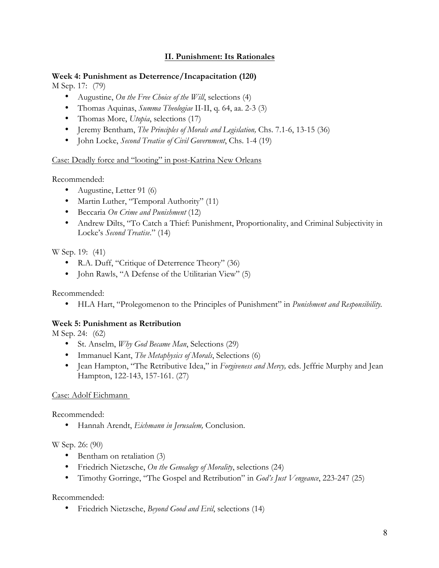## **II. Punishment: Its Rationales**

# **Week 4: Punishment as Deterrence/Incapacitation (120)**

M Sep. 17: (79)

- Augustine, *On the Free Choice of the Will*, selections (4)
- Thomas Aquinas, *Summa Theologiae* II-II, q. 64, aa. 2-3 (3)
- Thomas More, *Utopia*, selections (17)
- Jeremy Bentham, *The Principles of Morals and Legislation,* Chs. 7.1-6, 13-15 (36)
- John Locke, *Second Treatise of Civil Government*, Chs. 1-4 (19)

## Case: Deadly force and "looting" in post-Katrina New Orleans

Recommended:

- Augustine, Letter 91 (6)
- Martin Luther, "Temporal Authority" (11)
- Beccaria *On Crime and Punishment* (12)
- Andrew Dilts, "To Catch a Thief: Punishment, Proportionality, and Criminal Subjectivity in Locke's *Second Treatise*." (14)

W Sep. 19: (41)

- R.A. Duff, "Critique of Deterrence Theory" (36)
- John Rawls, "A Defense of the Utilitarian View" (5)

Recommended:

• HLA Hart, "Prolegomenon to the Principles of Punishment" in *Punishment and Responsibility.*

# **Week 5: Punishment as Retribution**

M Sep. 24: (62)

- St. Anselm, *Why God Became Man*, Selections (29)
- Immanuel Kant, *The Metaphysics of Morals*, Selections (6)
- Jean Hampton, "The Retributive Idea," in *Forgiveness and Mercy,* eds. Jeffrie Murphy and Jean Hampton, 122-143, 157-161. (27)

# Case: Adolf Eichmann

Recommended:

• Hannah Arendt, *Eichmann in Jerusalem,* Conclusion.

# W Sep. 26: (90)

- Bentham on retaliation (3)
- Friedrich Nietzsche, *On the Genealogy of Morality*, selections (24)
- Timothy Gorringe, "The Gospel and Retribution" in *God's Just Vengeance*, 223-247 (25)

Recommended:

• Friedrich Nietzsche, *Beyond Good and Evil*, selections (14)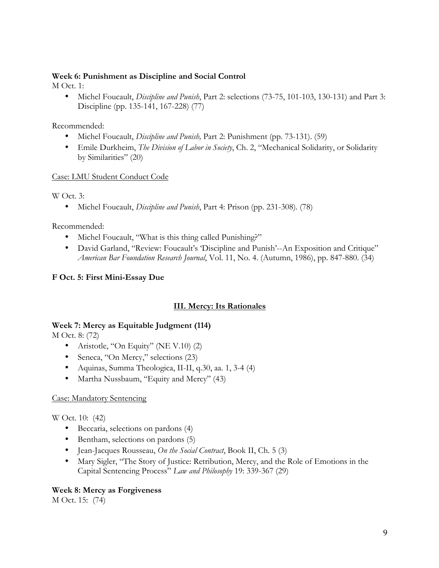## **Week 6: Punishment as Discipline and Social Control**

M Oct. 1:

• Michel Foucault, *Discipline and Punish*, Part 2: selections (73-75, 101-103, 130-131) and Part 3: Discipline (pp. 135-141, 167-228) (77)

Recommended:

- Michel Foucault, *Discipline and Punish,* Part 2: Punishment (pp. 73-131). (59)
- Emile Durkheim, *The Division of Labor in Society*, Ch. 2, "Mechanical Solidarity, or Solidarity by Similarities" (20)

Case: LMU Student Conduct Code

W Oct. 3:

• Michel Foucault, *Discipline and Punish*, Part 4: Prison (pp. 231-308). (78)

Recommended:

- Michel Foucault, "What is this thing called Punishing?"
- David Garland, "Review: Foucault's 'Discipline and Punish'--An Exposition and Critique" *American Bar Foundation Research Journal*, Vol. 11, No. 4. (Autumn, 1986), pp. 847-880. (34)

# **F Oct. 5: First Mini-Essay Due**

# **III. Mercy: Its Rationales**

#### **Week 7: Mercy as Equitable Judgment (114)**

M Oct. 8: (72)

- Aristotle, "On Equity" (NE V.10) (2)
- Seneca, "On Mercy," selections (23)
- Aquinas, Summa Theologica, II-II, q.30, aa. 1, 3-4 (4)
- Martha Nussbaum, "Equity and Mercy" (43)

# Case: Mandatory Sentencing

W Oct. 10: (42)

- Beccaria, selections on pardons (4)
- Bentham, selections on pardons (5)
- Jean-Jacques Rousseau, *On the Social Contract*, Book II, Ch. 5 (3)
- Mary Sigler, "The Story of Justice: Retribution, Mercy, and the Role of Emotions in the Capital Sentencing Process" *Law and Philosophy* 19: 339-367 (29)

# **Week 8: Mercy as Forgiveness**

M Oct. 15: (74)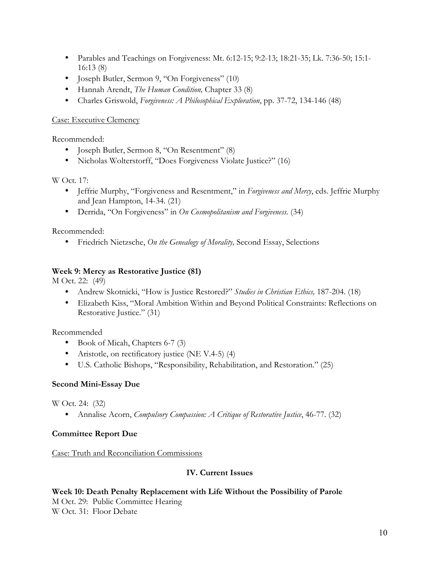- Parables and Teachings on Forgiveness: Mt. 6:12-15; 9:2-13; 18:21-35; Lk. 7:36-50; 15:1- 16:13 (8)
- Joseph Butler, Sermon 9, "On Forgiveness" (10)
- Hannah Arendt, *The Human Condition,* Chapter 33 (8)
- Charles Griswold, *Forgiveness: A Philosophical Exploration*, pp. 37-72, 134-146 (48)

## Case: Executive Clemency

Recommended:

- Joseph Butler, Sermon 8, "On Resentment" (8)
- Nicholas Wolterstorff, "Does Forgiveness Violate Justice?" (16)

W Oct. 17:

- Jeffrie Murphy, "Forgiveness and Resentment," in *Forgiveness and Mercy*, eds. Jeffrie Murphy and Jean Hampton, 14-34. (21)
- Derrida, "On Forgiveness" in *On Cosmopolitanism and Forgiveness.* (34)

Recommended:

• Friedrich Nietzsche, *On the Genealogy of Morality,* Second Essay, Selections

# **Week 9: Mercy as Restorative Justice (81)**

M Oct. 22: (49)

- Andrew Skotnicki, "How is Justice Restored?" *Studies in Christian Ethics,* 187-204. (18)
- Elizabeth Kiss, "Moral Ambition Within and Beyond Political Constraints: Reflections on Restorative Justice." (31)

Recommended

- Book of Micah, Chapters 6-7 (3)
- Aristotle, on rectificatory justice (NE V.4-5) (4)
- U.S. Catholic Bishops, "Responsibility, Rehabilitation, and Restoration." (25)

# **Second Mini-Essay Due**

W Oct. 24: (32)

• Annalise Acorn, *Compulsory Compassion: A Critique of Restorative Justice*, 46-77. (32)

# **Committee Report Due**

Case: Truth and Reconciliation Commissions

# **IV. Current Issues**

**Week 10: Death Penalty Replacement with Life Without the Possibility of Parole**  M Oct. 29: Public Committee Hearing

W Oct. 31: Floor Debate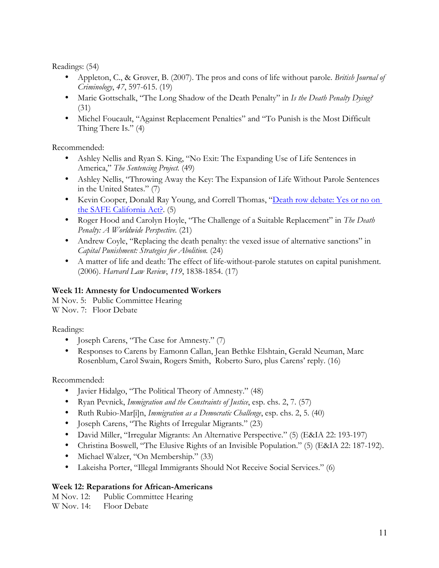Readings: (54)

- Appleton, C., & Grøver, B. (2007). The pros and cons of life without parole. *British Journal of Criminology*, *47*, 597-615. (19)
- Marie Gottschalk, "The Long Shadow of the Death Penalty" in *Is the Death Penalty Dying?*  (31)
- Michel Foucault, "Against Replacement Penalties" and "To Punish is the Most Difficult Thing There Is." (4)

Recommended:

- Ashley Nellis and Ryan S. King, "No Exit: The Expanding Use of Life Sentences in America," *The Sentencing Project.* (49)
- Ashley Nellis, "Throwing Away the Key: The Expansion of Life Without Parole Sentences in the United States." (7)
- Kevin Cooper, Donald Ray Young, and Correll Thomas, "Death row debate: Yes or no on the SAFE California Act?. (5)
- Roger Hood and Carolyn Hoyle, "The Challenge of a Suitable Replacement" in *The Death Penalty: A Worldwide Perspective.* (21)
- Andrew Coyle, "Replacing the death penalty: the vexed issue of alternative sanctions" in *Capital Punishment: Strategies for Abolition.* (24)
- A matter of life and death: The effect of life-without-parole statutes on capital punishment. (2006). *Harvard Law Review*, *119*, 1838-1854. (17)

# **Week 11: Amnesty for Undocumented Workers**

M Nov. 5: Public Committee Hearing W Nov. 7: Floor Debate

Readings:

- Joseph Carens, "The Case for Amnesty." (7)
- Responses to Carens by Eamonn Callan, Jean Bethke Elshtain, Gerald Neuman, Marc Rosenblum, Carol Swain, Rogers Smith, Roberto Suro, plus Carens' reply. (16)

Recommended:

- Javier Hidalgo, "The Political Theory of Amnesty." (48)
- Ryan Pevnick, *Immigration and the Constraints of Justice*, esp. chs. 2, 7. (57)
- Ruth Rubio-Mar[i]n, *Immigration as a Democratic Challenge*, esp. chs. 2, 5. (40)
- Joseph Carens, "The Rights of Irregular Migrants." (23)
- David Miller, "Irregular Migrants: An Alternative Perspective." (5) (E&IA 22: 193-197)
- Christina Boswell, "The Elusive Rights of an Invisible Population." (5) (E&IA 22: 187-192).
- Michael Walzer, "On Membership." (33)
- Lakeisha Porter, "Illegal Immigrants Should Not Receive Social Services." (6)

# **Week 12: Reparations for African-Americans**

M Nov. 12: Public Committee Hearing W Nov. 14: Floor Debate

11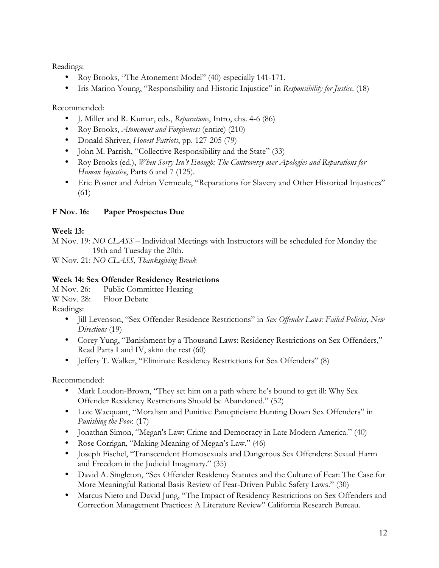Readings:

- Roy Brooks, "The Atonement Model" (40) especially 141-171.
- Iris Marion Young, "Responsibility and Historic Injustice" in *Responsibility for Justice.* (18)

Recommended:

- J. Miller and R. Kumar, eds., *Reparations*, Intro, chs. 4-6 (86)
- Roy Brooks, *Atonement and Forgiveness* (entire) (210)
- Donald Shriver, *Honest Patriots*, pp. 127-205 (79)
- John M. Parrish, "Collective Responsibility and the State" (33)
- Roy Brooks (ed.), *When Sorry Isn't Enough: The Controversy over Apologies and Reparations for Human Injustice*, Parts 6 and 7 (125).
- Eric Posner and Adrian Vermeule, "Reparations for Slavery and Other Historical Injustices" (61)

# **F Nov. 16: Paper Prospectus Due**

# **Week 13:**

M Nov. 19: *NO CLASS –* Individual Meetings with Instructors will be scheduled for Monday the 19th and Tuesday the 20th.

W Nov. 21: *NO CLASS, Thanksgiving Break*

## **Week 14: Sex Offender Residency Restrictions**

M Nov. 26: Public Committee Hearing

W Nov. 28: Floor Debate

Readings:

- Jill Levenson, "Sex Offender Residence Restrictions" in *Sex Offender Laws: Failed Policies, New Directions* (19)
- Corey Yung, "Banishment by a Thousand Laws: Residency Restrictions on Sex Offenders," Read Parts I and IV, skim the rest (60)
- Jeffery T. Walker, "Eliminate Residency Restrictions for Sex Offenders" (8)

Recommended:

- Mark Loudon-Brown, "They set him on a path where he's bound to get ill: Why Sex Offender Residency Restrictions Should be Abandoned." (52)
- Loic Wacquant, "Moralism and Punitive Panopticism: Hunting Down Sex Offenders" in *Punishing the Poor*. (17)
- Jonathan Simon, "Megan's Law: Crime and Democracy in Late Modern America." (40)
- Rose Corrigan, "Making Meaning of Megan's Law." (46)
- Joseph Fischel, "Transcendent Homosexuals and Dangerous Sex Offenders: Sexual Harm and Freedom in the Judicial Imaginary." (35)
- David A. Singleton, "Sex Offender Residency Statutes and the Culture of Fear: The Case for More Meaningful Rational Basis Review of Fear-Driven Public Safety Laws." (30)
- Marcus Nieto and David Jung, "The Impact of Residency Restrictions on Sex Offenders and Correction Management Practices: A Literature Review" California Research Bureau.